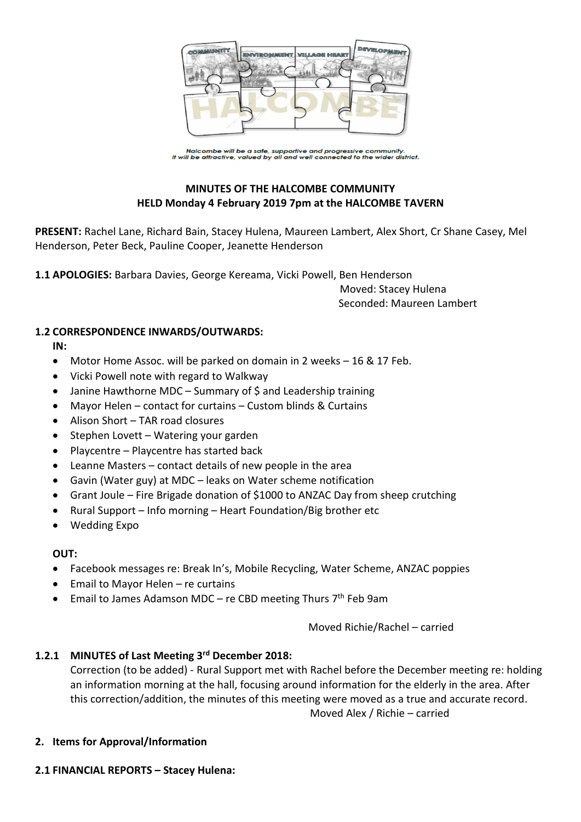

Halcombe will be a safe, supportive and progressive community.<br>It will be attractive, valued by all and well connected to the wider district.

# **MINUTES OF THE HALCOMBE COMMUNITY HELD Monday 4 February 2019 7pm at the HALCOMBE TAVERN**

**PRESENT:** Rachel Lane, Richard Bain, Stacey Hulena, Maureen Lambert, Alex Short, Cr Shane Casey, Mel Henderson, Peter Beck, Pauline Cooper, Jeanette Henderson

**1.1 APOLOGIES:** Barbara Davies, George Kereama, Vicki Powell, Ben Henderson

 Moved: Stacey Hulena Seconded: Maureen Lambert

#### **1.2 CORRESPONDENCE INWARDS/OUTWARDS:**

**IN:** 

- Motor Home Assoc. will be parked on domain in 2 weeks 16 & 17 Feb.
- Vicki Powell note with regard to Walkway
- Janine Hawthorne MDC Summary of \$ and Leadership training
- Mayor Helen contact for curtains Custom blinds & Curtains
- Alison Short TAR road closures
- Stephen Lovett Watering your garden
- Playcentre Playcentre has started back
- Leanne Masters contact details of new people in the area
- Gavin (Water guy) at MDC leaks on Water scheme notification
- Grant Joule Fire Brigade donation of \$1000 to ANZAC Day from sheep crutching
- Rural Support Info morning Heart Foundation/Big brother etc
- Wedding Expo

## **OUT:**

- Facebook messages re: Break In's, Mobile Recycling, Water Scheme, ANZAC poppies
- Email to Mayor Helen re curtains
- Email to James Adamson MDC re CBD meeting Thurs 7<sup>th</sup> Feb 9am

Moved Richie/Rachel – carried

## **1.2.1 MINUTES of Last Meeting 3 rd December 2018:**

Correction (to be added) - Rural Support met with Rachel before the December meeting re: holding an information morning at the hall, focusing around information for the elderly in the area. After this correction/addition, the minutes of this meeting were moved as a true and accurate record. Moved Alex / Richie – carried

## **2. Items for Approval/Information**

## **2.1 FINANCIAL REPORTS – Stacey Hulena:**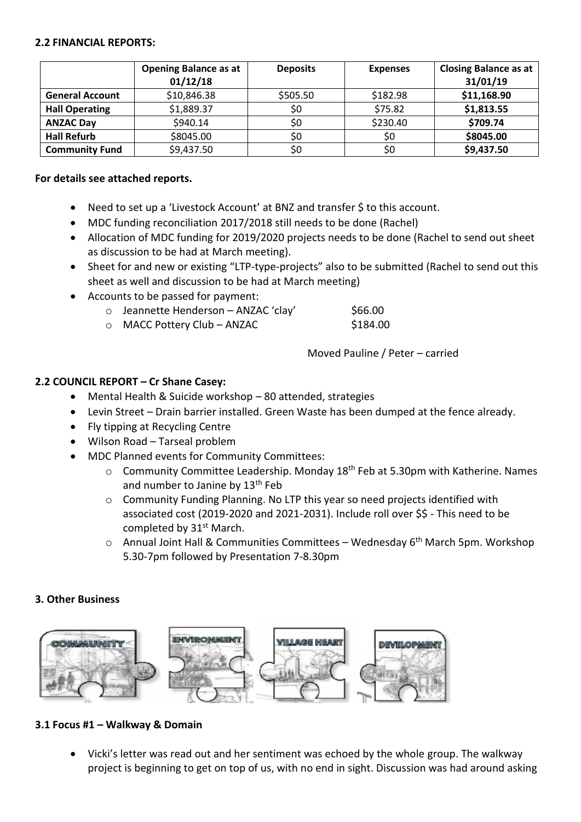#### **2.2 FINANCIAL REPORTS:**

|                        | <b>Opening Balance as at</b><br>01/12/18 | <b>Deposits</b> | <b>Expenses</b> | <b>Closing Balance as at</b><br>31/01/19 |
|------------------------|------------------------------------------|-----------------|-----------------|------------------------------------------|
| <b>General Account</b> | \$10,846.38                              | \$505.50        | \$182.98        | \$11,168.90                              |
| <b>Hall Operating</b>  | \$1,889.37                               | \$0             | \$75.82         | \$1,813.55                               |
| <b>ANZAC Day</b>       | \$940.14                                 | \$0             | \$230.40        | \$709.74                                 |
| <b>Hall Refurb</b>     | \$8045.00                                | \$0             | \$0             | \$8045.00                                |
| <b>Community Fund</b>  | \$9,437.50                               | \$0             | \$0             | \$9,437.50                               |

#### **For details see attached reports.**

- Need to set up a 'Livestock Account' at BNZ and transfer \$ to this account.
- MDC funding reconciliation 2017/2018 still needs to be done (Rachel)
- Allocation of MDC funding for 2019/2020 projects needs to be done (Rachel to send out sheet as discussion to be had at March meeting).
- Sheet for and new or existing "LTP-type-projects" also to be submitted (Rachel to send out this sheet as well and discussion to be had at March meeting)
- Accounts to be passed for payment:
	- o Jeannette Henderson ANZAC 'clay' \$66.00
	- o MACC Pottery Club ANZAC \$184.00

Moved Pauline / Peter – carried

#### **2.2 COUNCIL REPORT – Cr Shane Casey:**

- Mental Health & Suicide workshop 80 attended, strategies
- Levin Street Drain barrier installed. Green Waste has been dumped at the fence already.
- Fly tipping at Recycling Centre
- Wilson Road Tarseal problem
- MDC Planned events for Community Committees:
	- $\circ$  Community Committee Leadership. Monday 18<sup>th</sup> Feb at 5.30pm with Katherine. Names and number to Janine by  $13<sup>th</sup>$  Feb
	- o Community Funding Planning. No LTP this year so need projects identified with associated cost (2019-2020 and 2021-2031). Include roll over \$\$ - This need to be completed by 31<sup>st</sup> March.
	- o Annual Joint Hall & Communities Committees Wednesday 6<sup>th</sup> March 5pm. Workshop 5.30-7pm followed by Presentation 7-8.30pm

#### **3. Other Business**



#### **3.1 Focus #1 – Walkway & Domain**

 Vicki's letter was read out and her sentiment was echoed by the whole group. The walkway project is beginning to get on top of us, with no end in sight. Discussion was had around asking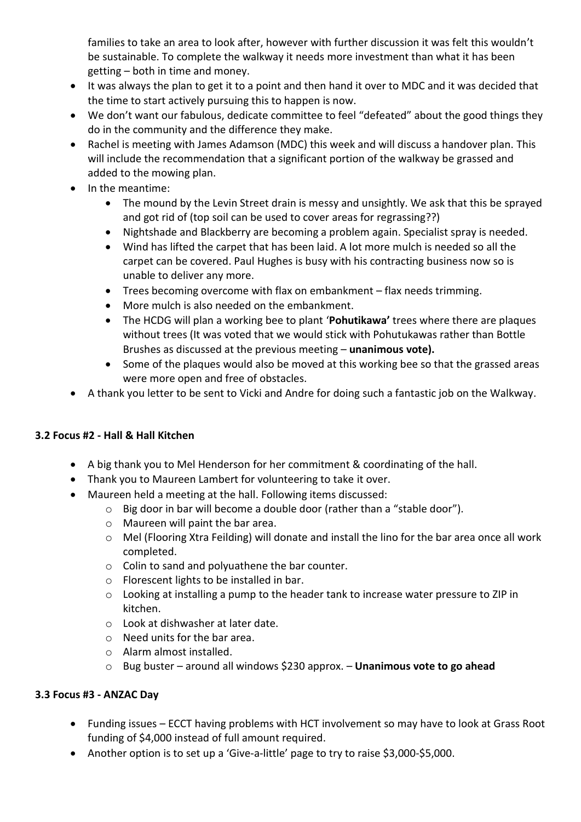families to take an area to look after, however with further discussion it was felt this wouldn't be sustainable. To complete the walkway it needs more investment than what it has been getting – both in time and money.

- It was always the plan to get it to a point and then hand it over to MDC and it was decided that the time to start actively pursuing this to happen is now.
- We don't want our fabulous, dedicate committee to feel "defeated" about the good things they do in the community and the difference they make.
- Rachel is meeting with James Adamson (MDC) this week and will discuss a handover plan. This will include the recommendation that a significant portion of the walkway be grassed and added to the mowing plan.
- In the meantime:
	- The mound by the Levin Street drain is messy and unsightly. We ask that this be sprayed and got rid of (top soil can be used to cover areas for regrassing??)
	- Nightshade and Blackberry are becoming a problem again. Specialist spray is needed.
	- Wind has lifted the carpet that has been laid. A lot more mulch is needed so all the carpet can be covered. Paul Hughes is busy with his contracting business now so is unable to deliver any more.
	- Trees becoming overcome with flax on embankment flax needs trimming.
	- More mulch is also needed on the embankment.
	- The HCDG will plan a working bee to plant '**Pohutikawa'** trees where there are plaques without trees (It was voted that we would stick with Pohutukawas rather than Bottle Brushes as discussed at the previous meeting – **unanimous vote).**
	- Some of the plaques would also be moved at this working bee so that the grassed areas were more open and free of obstacles.
- A thank you letter to be sent to Vicki and Andre for doing such a fantastic job on the Walkway.

## **3.2 Focus #2 - Hall & Hall Kitchen**

- A big thank you to Mel Henderson for her commitment & coordinating of the hall.
- Thank you to Maureen Lambert for volunteering to take it over.
- Maureen held a meeting at the hall. Following items discussed:
	- o Big door in bar will become a double door (rather than a "stable door").
	- o Maureen will paint the bar area.
	- o Mel (Flooring Xtra Feilding) will donate and install the lino for the bar area once all work completed.
	- o Colin to sand and polyuathene the bar counter.
	- o Florescent lights to be installed in bar.
	- o Looking at installing a pump to the header tank to increase water pressure to ZIP in kitchen.
	- o Look at dishwasher at later date.
	- o Need units for the bar area.
	- o Alarm almost installed.
	- o Bug buster around all windows \$230 approx. **Unanimous vote to go ahead**

## **3.3 Focus #3 - ANZAC Day**

- Funding issues ECCT having problems with HCT involvement so may have to look at Grass Root funding of \$4,000 instead of full amount required.
- Another option is to set up a 'Give-a-little' page to try to raise \$3,000-\$5,000.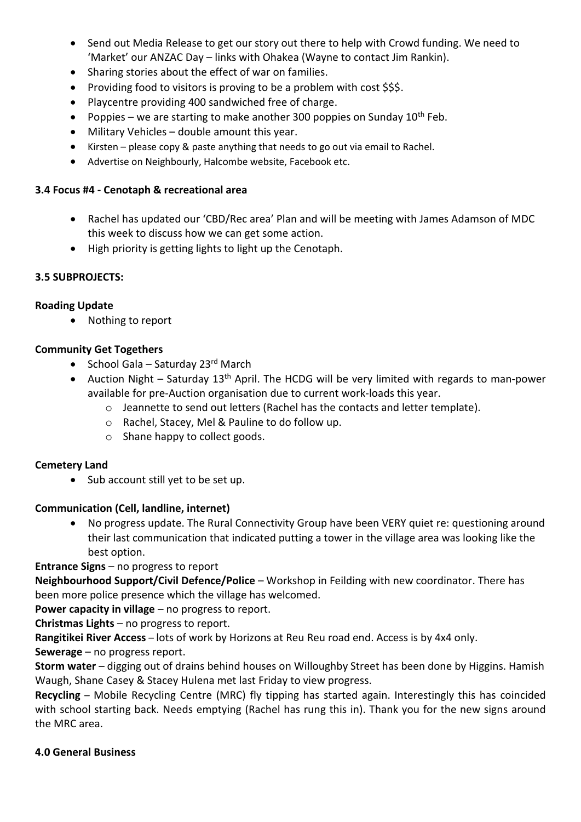- Send out Media Release to get our story out there to help with Crowd funding. We need to 'Market' our ANZAC Day – links with Ohakea (Wayne to contact Jim Rankin).
- Sharing stories about the effect of war on families.
- Providing food to visitors is proving to be a problem with cost \$\$\$.
- Playcentre providing 400 sandwiched free of charge.
- Poppies we are starting to make another 300 poppies on Sunday  $10^{th}$  Feb.
- Military Vehicles double amount this year.
- Kirsten please copy & paste anything that needs to go out via email to Rachel.
- Advertise on Neighbourly, Halcombe website, Facebook etc.

## **3.4 Focus #4 - Cenotaph & recreational area**

- Rachel has updated our 'CBD/Rec area' Plan and will be meeting with James Adamson of MDC this week to discuss how we can get some action.
- High priority is getting lights to light up the Cenotaph.

## **3.5 SUBPROJECTS:**

## **Roading Update**

• Nothing to report

## **Community Get Togethers**

- School Gala Saturday 23 $rd$  March
- Auction Night Saturday  $13<sup>th</sup>$  April. The HCDG will be very limited with regards to man-power available for pre-Auction organisation due to current work-loads this year.
	- o Jeannette to send out letters (Rachel has the contacts and letter template).
	- o Rachel, Stacey, Mel & Pauline to do follow up.
	- o Shane happy to collect goods.

## **Cemetery Land**

• Sub account still yet to be set up.

# **Communication (Cell, landline, internet)**

 No progress update. The Rural Connectivity Group have been VERY quiet re: questioning around their last communication that indicated putting a tower in the village area was looking like the best option.

**Entrance Signs** – no progress to report

**Neighbourhood Support/Civil Defence/Police** – Workshop in Feilding with new coordinator. There has been more police presence which the village has welcomed.

**Power capacity in village** – no progress to report.

**Christmas Lights** – no progress to report.

**Rangitikei River Access** – lots of work by Horizons at Reu Reu road end. Access is by 4x4 only.

**Sewerage** – no progress report.

**Storm water** – digging out of drains behind houses on Willoughby Street has been done by Higgins. Hamish Waugh, Shane Casey & Stacey Hulena met last Friday to view progress.

**Recycling** – Mobile Recycling Centre (MRC) fly tipping has started again. Interestingly this has coincided with school starting back. Needs emptying (Rachel has rung this in). Thank you for the new signs around the MRC area.

## **4.0 General Business**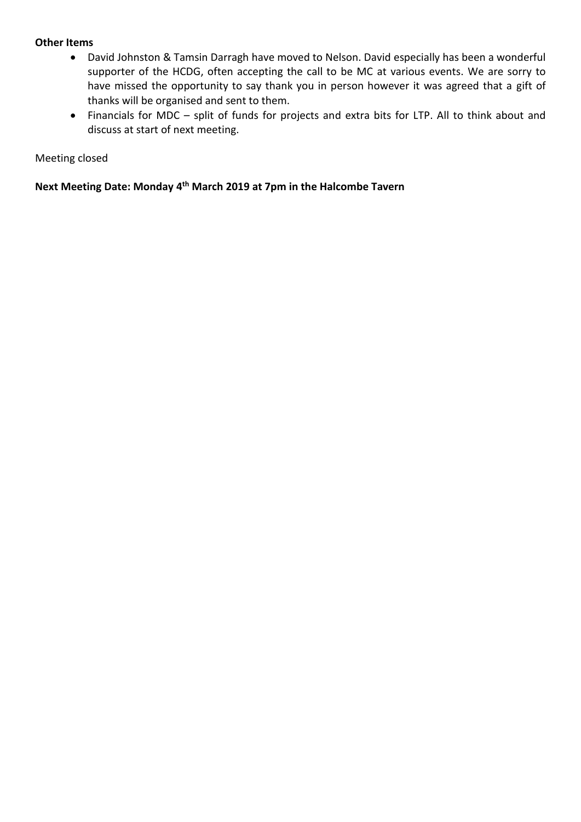#### **Other Items**

- David Johnston & Tamsin Darragh have moved to Nelson. David especially has been a wonderful supporter of the HCDG, often accepting the call to be MC at various events. We are sorry to have missed the opportunity to say thank you in person however it was agreed that a gift of thanks will be organised and sent to them.
- Financials for MDC split of funds for projects and extra bits for LTP. All to think about and discuss at start of next meeting.

#### Meeting closed

**Next Meeting Date: Monday 4 th March 2019 at 7pm in the Halcombe Tavern**